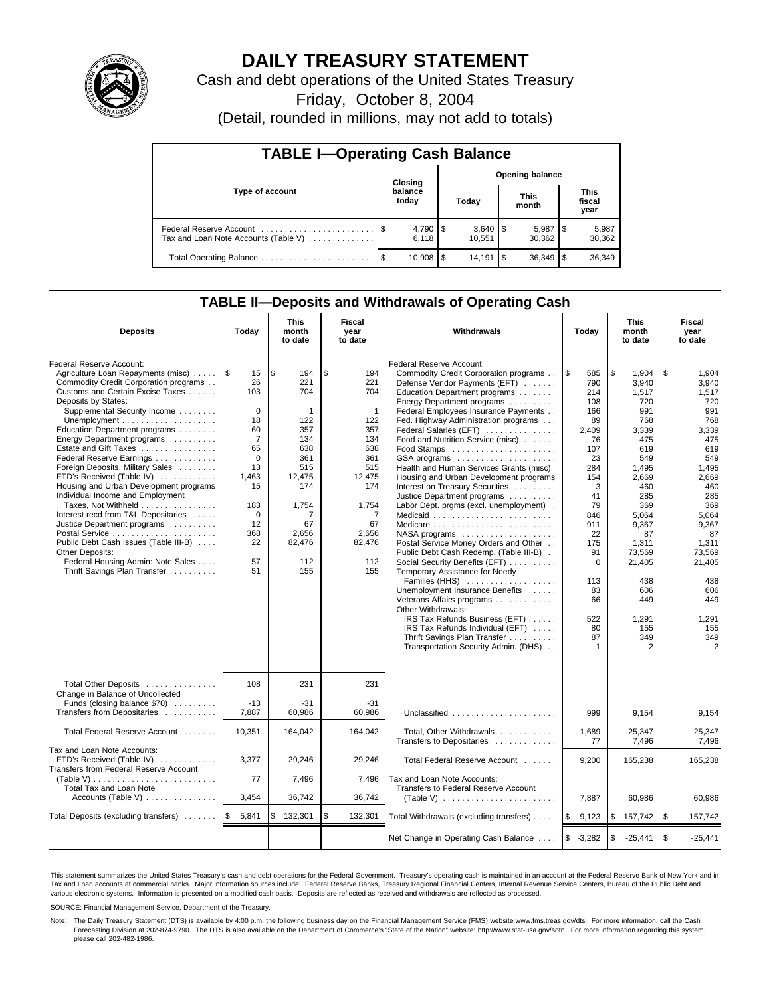

# **DAILY TREASURY STATEMENT**

Cash and debt operations of the United States Treasury

Friday, October 8, 2004

(Detail, rounded in millions, may not add to totals)

| <b>TABLE I-Operating Cash Balance</b>                           |      |                                   |    |                        |            |                      |  |                               |  |  |
|-----------------------------------------------------------------|------|-----------------------------------|----|------------------------|------------|----------------------|--|-------------------------------|--|--|
| Type of account                                                 |      | <b>Opening balance</b><br>Closing |    |                        |            |                      |  |                               |  |  |
|                                                                 |      | balance<br>today                  |    | Today                  |            | <b>This</b><br>month |  | <b>This</b><br>fiscal<br>year |  |  |
| Federal Reserve Account<br>Tax and Loan Note Accounts (Table V) |      | $4,790$ \ \$<br>6.118             |    | $3,640$ \ \$<br>10.551 |            | 5,987<br>30.362      |  | 5,987<br>30,362               |  |  |
|                                                                 | - \$ | 10.908                            | \$ | 14.191                 | <b>1\$</b> | 36.349               |  | 36,349                        |  |  |

## **TABLE II—Deposits and Withdrawals of Operating Cash**

| <b>Deposits</b>                                                                                                                                                                                                                                                                                                                                                                                                                                                                                                                                                                                                                                                                                                                                                  | Today                                                                                                                                                           | <b>This</b><br>month<br>to date                                                                                                                         | Fiscal<br>year<br>to date                                                                                                                                 | <b>Withdrawals</b>                                                                                                                                                                                                                                                                                                                                                                                                                                                                                                                                                                                                                                                                                                                                                                                                                                                                                                                                                                                                  | <b>This</b><br>Today<br>month<br>to date                                                                                                                                                                |                                                                                                                                                                                                                                            | Fiscal<br>year<br>to date                                                                                                                                                                                                                  |
|------------------------------------------------------------------------------------------------------------------------------------------------------------------------------------------------------------------------------------------------------------------------------------------------------------------------------------------------------------------------------------------------------------------------------------------------------------------------------------------------------------------------------------------------------------------------------------------------------------------------------------------------------------------------------------------------------------------------------------------------------------------|-----------------------------------------------------------------------------------------------------------------------------------------------------------------|---------------------------------------------------------------------------------------------------------------------------------------------------------|-----------------------------------------------------------------------------------------------------------------------------------------------------------|---------------------------------------------------------------------------------------------------------------------------------------------------------------------------------------------------------------------------------------------------------------------------------------------------------------------------------------------------------------------------------------------------------------------------------------------------------------------------------------------------------------------------------------------------------------------------------------------------------------------------------------------------------------------------------------------------------------------------------------------------------------------------------------------------------------------------------------------------------------------------------------------------------------------------------------------------------------------------------------------------------------------|---------------------------------------------------------------------------------------------------------------------------------------------------------------------------------------------------------|--------------------------------------------------------------------------------------------------------------------------------------------------------------------------------------------------------------------------------------------|--------------------------------------------------------------------------------------------------------------------------------------------------------------------------------------------------------------------------------------------|
| Federal Reserve Account:<br>Agriculture Loan Repayments (misc)<br>Commodity Credit Corporation programs<br>Customs and Certain Excise Taxes<br>Deposits by States:<br>Supplemental Security Income<br>Unemployment $\dots\dots\dots\dots\dots\dots\dots$<br>Education Department programs<br>Energy Department programs<br>Estate and Gift Taxes<br>Federal Reserve Earnings<br>Foreign Deposits, Military Sales<br>FTD's Received (Table IV)<br>Housing and Urban Development programs<br>Individual Income and Employment<br>Taxes, Not Withheld<br>Interest recd from T&L Depositaries<br>Justice Department programs<br>Public Debt Cash Issues (Table III-B)<br><b>Other Deposits:</b><br>Federal Housing Admin: Note Sales<br>Thrift Savings Plan Transfer | 1\$<br>15<br>26<br>103<br>$\mathbf 0$<br>18<br>60<br>$\overline{7}$<br>65<br>$\Omega$<br>13<br>1,463<br>15<br>183<br>$\mathbf 0$<br>12<br>368<br>22<br>57<br>51 | \$<br>194<br>221<br>704<br>$\mathbf{1}$<br>122<br>357<br>134<br>638<br>361<br>515<br>12,475<br>174<br>1,754<br>7<br>67<br>2,656<br>82,476<br>112<br>155 | \$<br>194<br>221<br>704<br>$\overline{1}$<br>122<br>357<br>134<br>638<br>361<br>515<br>12,475<br>174<br>1,754<br>7<br>67<br>2,656<br>82,476<br>112<br>155 | Federal Reserve Account:<br>Commodity Credit Corporation programs<br>Defense Vendor Payments (EFT)<br>Education Department programs<br>Energy Department programs<br>Federal Employees Insurance Payments<br>Fed. Highway Administration programs<br>Federal Salaries (EFT)<br>Food and Nutrition Service (misc)<br>GSA programs<br>Health and Human Services Grants (misc)<br>Housing and Urban Development programs<br>Interest on Treasury Securities<br>Justice Department programs<br>Labor Dept. prgms (excl. unemployment).<br>Medicare<br>$NASA$ programs $\ldots \ldots \ldots \ldots \ldots$<br>Postal Service Money Orders and Other<br>Public Debt Cash Redemp. (Table III-B)<br>Social Security Benefits (EFT)<br>Temporary Assistance for Needy<br>Families (HHS)<br>Unemployment Insurance Benefits<br>Veterans Affairs programs<br>Other Withdrawals:<br>IRS Tax Refunds Business (EFT)<br>IRS Tax Refunds Individual (EFT)<br>Thrift Savings Plan Transfer<br>Transportation Security Admin. (DHS) | <b>S</b><br>585<br>790<br>214<br>108<br>166<br>89<br>2,409<br>76<br>107<br>23<br>284<br>154<br>3<br>41<br>79<br>846<br>911<br>22<br>175<br>91<br>$\mathbf 0$<br>113<br>83<br>66<br>522<br>80<br>87<br>1 | \$<br>1,904<br>3.940<br>1,517<br>720<br>991<br>768<br>3,339<br>475<br>619<br>549<br>1,495<br>2.669<br>460<br>285<br>369<br>5.064<br>9,367<br>87<br>1,311<br>73,569<br>21,405<br>438<br>606<br>449<br>1,291<br>155<br>349<br>$\overline{2}$ | \$<br>1,904<br>3.940<br>1,517<br>720<br>991<br>768<br>3,339<br>475<br>619<br>549<br>1,495<br>2.669<br>460<br>285<br>369<br>5.064<br>9,367<br>87<br>1,311<br>73,569<br>21,405<br>438<br>606<br>449<br>1,291<br>155<br>349<br>$\overline{2}$ |
| Total Other Deposits<br>Change in Balance of Uncollected<br>Funds (closing balance \$70)<br>Transfers from Depositaries                                                                                                                                                                                                                                                                                                                                                                                                                                                                                                                                                                                                                                          | 108<br>$-13$<br>7.887                                                                                                                                           | 231<br>$-31$<br>60,986                                                                                                                                  | 231<br>$-31$<br>60.986                                                                                                                                    | Unclassified                                                                                                                                                                                                                                                                                                                                                                                                                                                                                                                                                                                                                                                                                                                                                                                                                                                                                                                                                                                                        | 999                                                                                                                                                                                                     | 9.154                                                                                                                                                                                                                                      | 9.154                                                                                                                                                                                                                                      |
| Total Federal Reserve Account                                                                                                                                                                                                                                                                                                                                                                                                                                                                                                                                                                                                                                                                                                                                    | 10,351                                                                                                                                                          | 164,042                                                                                                                                                 | 164,042                                                                                                                                                   | Total, Other Withdrawals                                                                                                                                                                                                                                                                                                                                                                                                                                                                                                                                                                                                                                                                                                                                                                                                                                                                                                                                                                                            | 1,689                                                                                                                                                                                                   | 25,347                                                                                                                                                                                                                                     | 25,347                                                                                                                                                                                                                                     |
| Tax and Loan Note Accounts:<br>FTD's Received (Table IV)<br>Transfers from Federal Reserve Account<br>(Table V)<br><b>Total Tax and Loan Note</b>                                                                                                                                                                                                                                                                                                                                                                                                                                                                                                                                                                                                                | 3,377<br>77                                                                                                                                                     | 29,246<br>7,496                                                                                                                                         | 29,246<br>7.496                                                                                                                                           | Transfers to Depositaries<br>Total Federal Reserve Account<br>Tax and Loan Note Accounts:<br>Transfers to Federal Reserve Account                                                                                                                                                                                                                                                                                                                                                                                                                                                                                                                                                                                                                                                                                                                                                                                                                                                                                   | 77<br>9,200                                                                                                                                                                                             | 7,496<br>165,238                                                                                                                                                                                                                           | 7.496<br>165,238                                                                                                                                                                                                                           |
| Accounts (Table V)                                                                                                                                                                                                                                                                                                                                                                                                                                                                                                                                                                                                                                                                                                                                               | 3,454                                                                                                                                                           | 36,742                                                                                                                                                  | 36,742                                                                                                                                                    | (Table V) $\ldots \ldots \ldots \ldots \ldots \ldots \ldots$                                                                                                                                                                                                                                                                                                                                                                                                                                                                                                                                                                                                                                                                                                                                                                                                                                                                                                                                                        | 7,887                                                                                                                                                                                                   | 60,986                                                                                                                                                                                                                                     | 60,986                                                                                                                                                                                                                                     |
| Total Deposits (excluding transfers)                                                                                                                                                                                                                                                                                                                                                                                                                                                                                                                                                                                                                                                                                                                             | ۱\$<br>5,841                                                                                                                                                    | 132,301<br>\$                                                                                                                                           | \$<br>132,301                                                                                                                                             | Total Withdrawals (excluding transfers)                                                                                                                                                                                                                                                                                                                                                                                                                                                                                                                                                                                                                                                                                                                                                                                                                                                                                                                                                                             | ۱\$<br>9,123                                                                                                                                                                                            | \$<br>157,742                                                                                                                                                                                                                              | <b>S</b><br>157,742                                                                                                                                                                                                                        |
|                                                                                                                                                                                                                                                                                                                                                                                                                                                                                                                                                                                                                                                                                                                                                                  |                                                                                                                                                                 |                                                                                                                                                         |                                                                                                                                                           | Net Change in Operating Cash Balance                                                                                                                                                                                                                                                                                                                                                                                                                                                                                                                                                                                                                                                                                                                                                                                                                                                                                                                                                                                | $$ -3,282$                                                                                                                                                                                              | \$<br>$-25,441$                                                                                                                                                                                                                            | l \$<br>$-25,441$                                                                                                                                                                                                                          |

This statement summarizes the United States Treasury's cash and debt operations for the Federal Government. Treasury's operating cash is maintained in an account at the Federal Reserve Bank of New York and in Tax and Loan accounts at commercial banks. Major information sources include: Federal Reserve Banks, Treasury Regional Financial Centers, Internal Revenue Service Centers, Bureau of the Public Debt and<br>various electronic s

SOURCE: Financial Management Service, Department of the Treasury.

Note: The Daily Treasury Statement (DTS) is available by 4:00 p.m. the following business day on the Financial Management Service (FMS) website www.fms.treas.gov/dts. For more information, call the Cash Forecasting Division at 202-874-9790. The DTS is also available on the Department of Commerce's "State of the Nation" website: http://www.stat-usa.gov/sotn. For more information regarding this system, please call 202-482-1986.